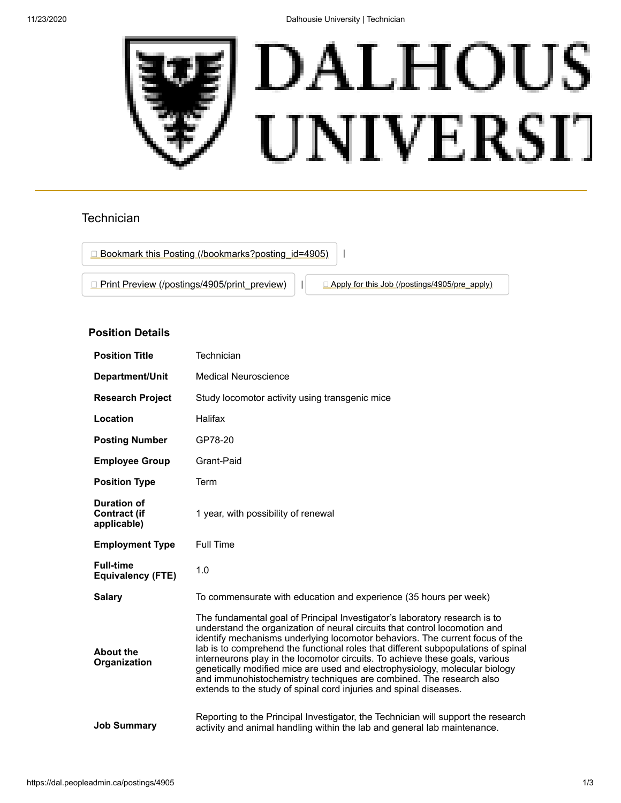11/23/2020 Dalhousie University | Technician



## **Technician**

□ [Bookmark this Posting \(/bookmarks?posting\\_id=4905\)](https://dal.peopleadmin.ca/bookmarks?posting_id=4905) | | **[Print Preview \(/postings/4905/print\\_preview\)](https://dal.peopleadmin.ca/postings/4905/print_preview)** | **[Apply for this Job \(/postings/4905/pre\\_apply\)](https://dal.peopleadmin.ca/postings/4905/pre_apply)** 

## **Position Details**

| <b>Position Title</b>                                    | Technician                                                                                                                                                                                                                                                                                                                                                                                                                                                                                                                                                                                                                               |
|----------------------------------------------------------|------------------------------------------------------------------------------------------------------------------------------------------------------------------------------------------------------------------------------------------------------------------------------------------------------------------------------------------------------------------------------------------------------------------------------------------------------------------------------------------------------------------------------------------------------------------------------------------------------------------------------------------|
| Department/Unit                                          | <b>Medical Neuroscience</b>                                                                                                                                                                                                                                                                                                                                                                                                                                                                                                                                                                                                              |
| <b>Research Project</b>                                  | Study locomotor activity using transgenic mice                                                                                                                                                                                                                                                                                                                                                                                                                                                                                                                                                                                           |
| Location                                                 | Halifax                                                                                                                                                                                                                                                                                                                                                                                                                                                                                                                                                                                                                                  |
| <b>Posting Number</b>                                    | GP78-20                                                                                                                                                                                                                                                                                                                                                                                                                                                                                                                                                                                                                                  |
| <b>Employee Group</b>                                    | Grant-Paid                                                                                                                                                                                                                                                                                                                                                                                                                                                                                                                                                                                                                               |
| <b>Position Type</b>                                     | Term                                                                                                                                                                                                                                                                                                                                                                                                                                                                                                                                                                                                                                     |
| <b>Duration of</b><br><b>Contract (if</b><br>applicable) | 1 year, with possibility of renewal                                                                                                                                                                                                                                                                                                                                                                                                                                                                                                                                                                                                      |
| <b>Employment Type</b>                                   | <b>Full Time</b>                                                                                                                                                                                                                                                                                                                                                                                                                                                                                                                                                                                                                         |
| <b>Full-time</b><br><b>Equivalency (FTE)</b>             | 1.0                                                                                                                                                                                                                                                                                                                                                                                                                                                                                                                                                                                                                                      |
| <b>Salary</b>                                            | To commensurate with education and experience (35 hours per week)                                                                                                                                                                                                                                                                                                                                                                                                                                                                                                                                                                        |
| <b>About the</b><br>Organization                         | The fundamental goal of Principal Investigator's laboratory research is to<br>understand the organization of neural circuits that control locomotion and<br>identify mechanisms underlying locomotor behaviors. The current focus of the<br>lab is to comprehend the functional roles that different subpopulations of spinal<br>interneurons play in the locomotor circuits. To achieve these goals, various<br>genetically modified mice are used and electrophysiology, molecular biology<br>and immunohistochemistry techniques are combined. The research also<br>extends to the study of spinal cord injuries and spinal diseases. |
| <b>Job Summary</b>                                       | Reporting to the Principal Investigator, the Technician will support the research<br>activity and animal handling within the lab and general lab maintenance.                                                                                                                                                                                                                                                                                                                                                                                                                                                                            |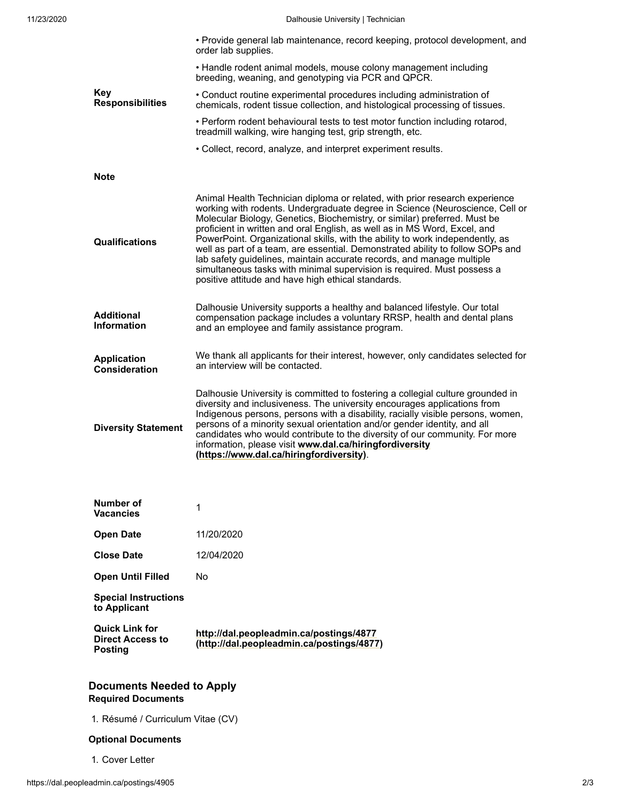|                                            | • Provide general lab maintenance, record keeping, protocol development, and<br>order lab supplies.                                                                                                                                                                                                                                                                                                                                                                                                                                                                                                                                                                                                |
|--------------------------------------------|----------------------------------------------------------------------------------------------------------------------------------------------------------------------------------------------------------------------------------------------------------------------------------------------------------------------------------------------------------------------------------------------------------------------------------------------------------------------------------------------------------------------------------------------------------------------------------------------------------------------------------------------------------------------------------------------------|
|                                            | • Handle rodent animal models, mouse colony management including<br>breeding, weaning, and genotyping via PCR and QPCR.                                                                                                                                                                                                                                                                                                                                                                                                                                                                                                                                                                            |
| Key<br><b>Responsibilities</b>             | • Conduct routine experimental procedures including administration of<br>chemicals, rodent tissue collection, and histological processing of tissues.                                                                                                                                                                                                                                                                                                                                                                                                                                                                                                                                              |
|                                            | . Perform rodent behavioural tests to test motor function including rotarod,<br>treadmill walking, wire hanging test, grip strength, etc.                                                                                                                                                                                                                                                                                                                                                                                                                                                                                                                                                          |
|                                            | • Collect, record, analyze, and interpret experiment results.                                                                                                                                                                                                                                                                                                                                                                                                                                                                                                                                                                                                                                      |
| <b>Note</b>                                |                                                                                                                                                                                                                                                                                                                                                                                                                                                                                                                                                                                                                                                                                                    |
| <b>Qualifications</b>                      | Animal Health Technician diploma or related, with prior research experience<br>working with rodents. Undergraduate degree in Science (Neuroscience, Cell or<br>Molecular Biology, Genetics, Biochemistry, or similar) preferred. Must be<br>proficient in written and oral English, as well as in MS Word, Excel, and<br>PowerPoint. Organizational skills, with the ability to work independently, as<br>well as part of a team, are essential. Demonstrated ability to follow SOPs and<br>lab safety guidelines, maintain accurate records, and manage multiple<br>simultaneous tasks with minimal supervision is required. Must possess a<br>positive attitude and have high ethical standards. |
| <b>Additional</b><br><b>Information</b>    | Dalhousie University supports a healthy and balanced lifestyle. Our total<br>compensation package includes a voluntary RRSP, health and dental plans<br>and an employee and family assistance program.                                                                                                                                                                                                                                                                                                                                                                                                                                                                                             |
| <b>Application</b><br><b>Consideration</b> | We thank all applicants for their interest, however, only candidates selected for<br>an interview will be contacted.                                                                                                                                                                                                                                                                                                                                                                                                                                                                                                                                                                               |
| <b>Diversity Statement</b>                 | Dalhousie University is committed to fostering a collegial culture grounded in<br>diversity and inclusiveness. The university encourages applications from<br>Indigenous persons, persons with a disability, racially visible persons, women,<br>persons of a minority sexual orientation and/or gender identity, and all<br>candidates who would contribute to the diversity of our community. For more<br>information, please visit www.dal.ca/hiringfordiversity<br>(https://www.dal.ca/hiringfordiversity).                                                                                                                                                                                    |
| Number of                                  |                                                                                                                                                                                                                                                                                                                                                                                                                                                                                                                                                                                                                                                                                                    |
| <b>Vacancies</b>                           | 1                                                                                                                                                                                                                                                                                                                                                                                                                                                                                                                                                                                                                                                                                                  |
| <b>Open Date</b>                           | 11/20/2020                                                                                                                                                                                                                                                                                                                                                                                                                                                                                                                                                                                                                                                                                         |
| <b>Close Date</b>                          | 12/04/2020                                                                                                                                                                                                                                                                                                                                                                                                                                                                                                                                                                                                                                                                                         |
| <b>Open Until Filled</b>                   | No                                                                                                                                                                                                                                                                                                                                                                                                                                                                                                                                                                                                                                                                                                 |

**Special Instructions to Applicant**

**Quick Link for Direct Access to Posting http://dal.peopleadmin.ca/postings/4877 [\(http://dal.peopleadmin.ca/postings/4877\)](http://dal.peopleadmin.ca/postings/4877)**

## **Documents Needed to Apply Required Documents**

1. Résumé / Curriculum Vitae (CV)

## **Optional Documents**

1. Cover Letter